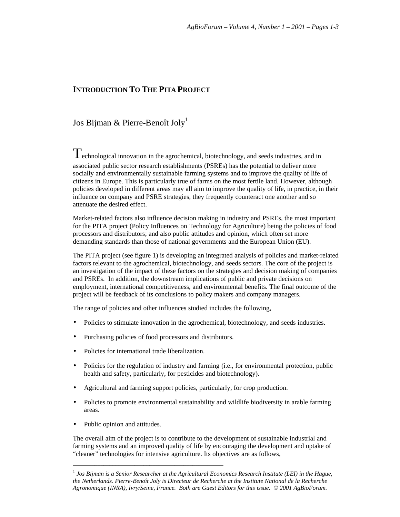## **INTRODUCTION TO THE PITA PROJECT**

## Jos Bijman & Pierre-Benoît Joly<sup>1</sup>

Technological innovation in the agrochemical, biotechnology, and seeds industries, and in associated public sector research establishments (PSREs) has the potential to deliver more socially and environmentally sustainable farming systems and to improve the quality of life of citizens in Europe. This is particularly true of farms on the most fertile land. However, although policies developed in different areas may all aim to improve the quality of life, in practice, in their influence on company and PSRE strategies, they frequently counteract one another and so attenuate the desired effect.

Market-related factors also influence decision making in industry and PSREs, the most important for the PITA project (Policy Influences on Technology for Agriculture) being the policies of food processors and distributors; and also public attitudes and opinion, which often set more demanding standards than those of national governments and the European Union (EU).

The PITA project (see figure 1) is developing an integrated analysis of policies and market-related factors relevant to the agrochemical, biotechnology, and seeds sectors. The core of the project is an investigation of the impact of these factors on the strategies and decision making of companies and PSREs. In addition, the downstream implications of public and private decisions on employment, international competitiveness, and environmental benefits. The final outcome of the project will be feedback of its conclusions to policy makers and company managers.

The range of policies and other influences studied includes the following,

- Policies to stimulate innovation in the agrochemical, biotechnology, and seeds industries.
- Purchasing policies of food processors and distributors.

\_\_\_\_\_\_\_\_\_\_\_\_\_\_\_\_\_\_\_\_\_\_\_\_\_\_\_\_\_\_\_\_\_\_\_\_\_\_\_\_\_\_\_\_\_\_\_\_\_

- Policies for international trade liberalization.
- Policies for the regulation of industry and farming (i.e., for environmental protection, public health and safety, particularly, for pesticides and biotechnology).
- Agricultural and farming support policies, particularly, for crop production.
- Policies to promote environmental sustainability and wildlife biodiversity in arable farming areas.
- Public opinion and attitudes.

The overall aim of the project is to contribute to the development of sustainable industrial and farming systems and an improved quality of life by encouraging the development and uptake of "cleaner" technologies for intensive agriculture. Its objectives are as follows,

<sup>&</sup>lt;sup>1</sup> Jos Bijman is a Senior Researcher at the Agricultural Economics Research Institute (LEI) in the Hague, *the Netherlands. Pierre-Benoît Joly is Directeur de Recherche at the Institute National de la Recherche Agronomique (INRA), Ivry/Seine, France. Both are Guest Editors for this issue. © 2001 AgBioForum.*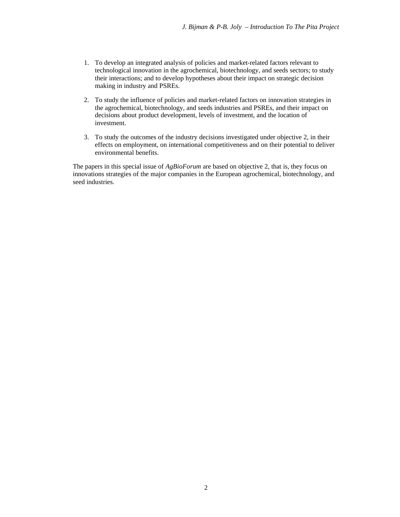- 1. To develop an integrated analysis of policies and market-related factors relevant to technological innovation in the agrochemical, biotechnology, and seeds sectors; to study their interactions; and to develop hypotheses about their impact on strategic decision making in industry and PSREs.
- 2. To study the influence of policies and market-related factors on innovation strategies in the agrochemical, biotechnology, and seeds industries and PSREs, and their impact on decisions about product development, levels of investment, and the location of investment.
- 3. To study the outcomes of the industry decisions investigated under objective 2, in their effects on employment, on international competitiveness and on their potential to deliver environmental benefits.

The papers in this special issue of *AgBioForum* are based on objective 2, that is, they focus on innovations strategies of the major companies in the European agrochemical, biotechnology, and seed industries.